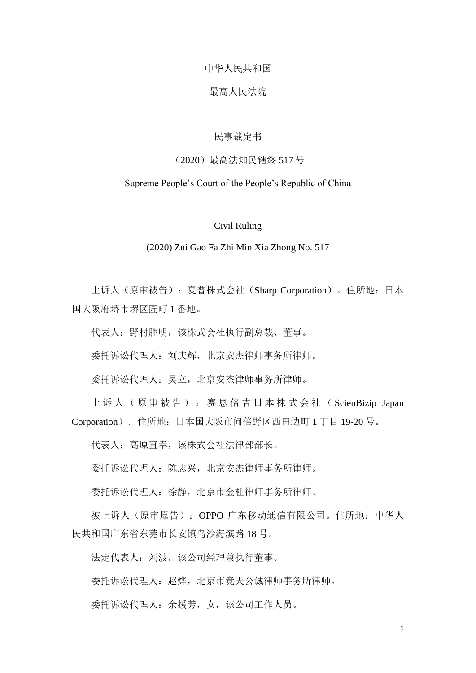# 中华人民共和国

# 最高人民法院

# 民事裁定书

# (2020)最高法知民辖终 517 号

# Supreme People's Court of the People's Republic of China

# Civil Ruling

#### (2020) Zui Gao Fa Zhi Min Xia Zhong No. 517

上诉人(原审被告):夏普株式会社(Sharp Corporation)。住所地:日本 国大阪府堺市堺区匠町 1 番地。

代表人:野村胜明,该株式会社执行副总裁、董事。

委托诉讼代理人:刘庆辉,北京安杰律师事务所律师。

委托诉讼代理人:吴立,北京安杰律师事务所律师。

上诉人(原审被告):赛恩倍吉日本株式会社( ScienBizip Japan Corporation).住所地:日本国大阪市问倍野区西田边町 1 丁目 19-20 号。

代表人:高原直幸,该株式会社法律部部长。

委托诉讼代理人:陈志兴,北京安杰律师事务所律师。

委托诉讼代理人:徐静,北京市金杜律师事务所律师。

被上诉人(原审原告): OPPO 广东移动通信有限公司。住所地: 中华人 民共和国广东省东莞市长安镇鸟沙海滨路 18 号。

法定代表人: 刘波, 该公司经理兼执行董事。

委托诉讼代理人:赵烨,北京市竞天公诚律师事务所律师。

委托诉讼代理人:余援芳,女,该公司工作人员。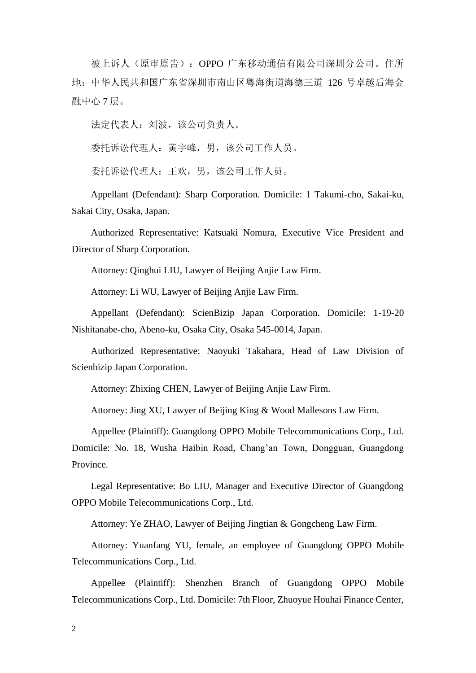被上诉人(原审原告):OPPO 广东移动通信有限公司深圳分公司。住所 地:中华人民共和国广东省深圳市南山区粤海街道海德三道 126 号卓越后海金 融中心 7 层。

法定代表人: 刘波, 该公司负责人。

委托诉讼代理人:黄宇峰,男,该公司工作人员。

委托诉讼代理人:王欢,男,该公司工作人员。

Appellant (Defendant): Sharp Corporation. Domicile: 1 Takumi-cho, Sakai-ku, Sakai City, Osaka, Japan.

Authorized Representative: Katsuaki Nomura, Executive Vice President and Director of Sharp Corporation.

Attorney: Qinghui LIU, Lawyer of Beijing Anjie Law Firm.

Attorney: Li WU, Lawyer of Beijing Anjie Law Firm.

Appellant (Defendant): ScienBizip Japan Corporation. Domicile: 1-19-20 Nishitanabe-cho, Abeno-ku, Osaka City, Osaka 545-0014, Japan.

Authorized Representative: Naoyuki Takahara, Head of Law Division of Scienbizip Japan Corporation.

Attorney: Zhixing CHEN, Lawyer of Beijing Anjie Law Firm.

Attorney: Jing XU, Lawyer of Beijing King & Wood Mallesons Law Firm.

Appellee (Plaintiff): Guangdong OPPO Mobile Telecommunications Corp., Ltd. Domicile: No. 18, Wusha Haibin Road, Chang'an Town, Dongguan, Guangdong Province.

Legal Representative: Bo LIU, Manager and Executive Director of Guangdong OPPO Mobile Telecommunications Corp., Ltd.

Attorney: Ye ZHAO, Lawyer of Beijing Jingtian & Gongcheng Law Firm.

Attorney: Yuanfang YU, female, an employee of Guangdong OPPO Mobile Telecommunications Corp., Ltd.

Appellee (Plaintiff): Shenzhen Branch of Guangdong OPPO Mobile Telecommunications Corp., Ltd. Domicile: 7th Floor, Zhuoyue Houhai Finance Center,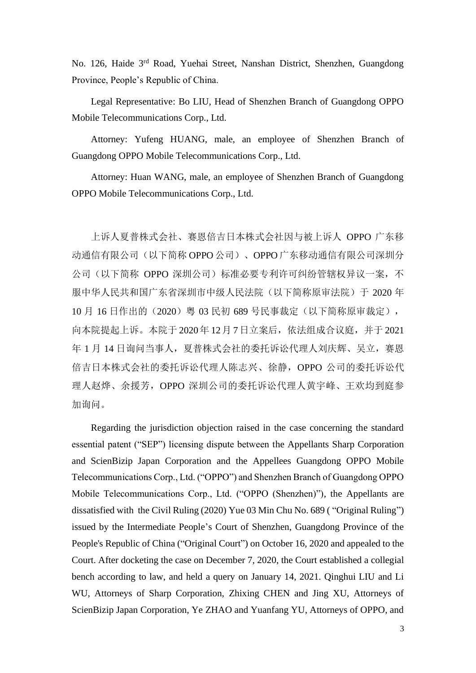No. 126, Haide 3rd Road, Yuehai Street, Nanshan District, Shenzhen, Guangdong Province, People's Republic of China.

Legal Representative: Bo LIU, Head of Shenzhen Branch of Guangdong OPPO Mobile Telecommunications Corp., Ltd.

Attorney: Yufeng HUANG, male, an employee of Shenzhen Branch of Guangdong OPPO Mobile Telecommunications Corp., Ltd.

Attorney: Huan WANG, male, an employee of Shenzhen Branch of Guangdong OPPO Mobile Telecommunications Corp., Ltd.

上诉人夏普株式会社、赛恩倍吉日本株式会社因与被上诉人 OPPO 广东移 动通信有限公司(以下简称 OPPO 公司)、OPPO 广东移动通信有限公司深圳分 公司(以下简称 OPPO 深圳公司)标准必要专利许可纠纷管辖权异议一案,不 服中华人民共和国广东省深圳市中级人民法院(以下简称原审法院)于 2020 年 10 月 16 日作出的(2020)粤 03 民初 689 号民事裁定(以下简称原审裁定), 向本院提起上诉。本院于 2020年 12月 7日立案后,依法组成合议庭,并于 2021 年 1 月 14 日询问当事人, 夏普株式会社的委托诉讼代理人刘庆辉、吴立, 赛恩 倍吉日本株式会社的委托诉讼代理人陈志兴、徐静,OPPO 公司的委托诉讼代 理人赵烨、余援芳,OPPO 深圳公司的委托诉讼代理人黄宇峰、王欢均到庭参 加询问。

Regarding the jurisdiction objection raised in the case concerning the standard essential patent ("SEP") licensing dispute between the Appellants Sharp Corporation and ScienBizip Japan Corporation and the Appellees Guangdong OPPO Mobile Telecommunications Corp., Ltd. ("OPPO") and Shenzhen Branch of Guangdong OPPO Mobile Telecommunications Corp., Ltd. ("OPPO (Shenzhen)"), the Appellants are dissatisfied with the Civil Ruling (2020) Yue 03 Min Chu No. 689 ( "Original Ruling") issued by the Intermediate People's Court of Shenzhen, Guangdong Province of the People's Republic of China ("Original Court") on October 16, 2020 and appealed to the Court. After docketing the case on December 7, 2020, the Court established a collegial bench according to law, and held a query on January 14, 2021. Qinghui LIU and Li WU, Attorneys of Sharp Corporation, Zhixing CHEN and Jing XU, Attorneys of ScienBizip Japan Corporation, Ye ZHAO and Yuanfang YU, Attorneys of OPPO, and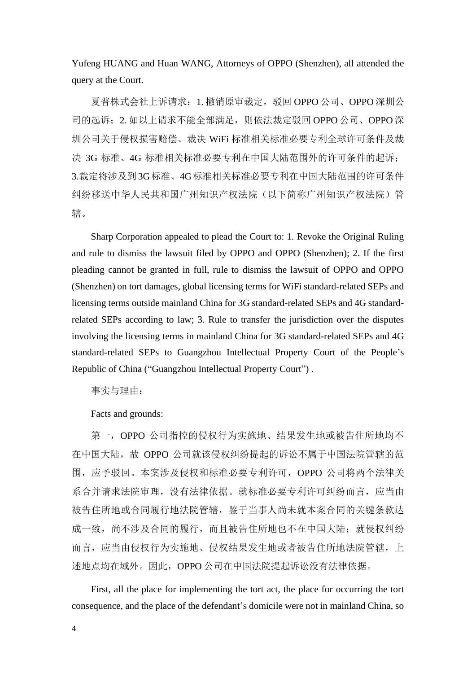Yufeng HUANG and Huan WANG, Attorneys of OPPO (Shenzhen), all attended the query at the Court.

夏普株式会社上诉请求:1. 撤销原审裁定,驳回 OPPO 公司、OPPO 深圳公 司的起诉;2. 如以上请求不能全部满足,则依法裁定驳回 OPPO 公司、OPPO 深 圳公司关于侵权损害赔偿、裁决 WiFi 标准相关标准必要专利全球许可条件及裁 决 3G 标准、4G 标准相关标准必要专利在中国大陆范围外的许可条件的起诉; 3.裁定将涉及到 3G标准、4G标准相关标准必要专利在中国大陆范围的许可条件 纠纷移送中华人民共和国广州知识产权法院(以下简称广州知识产权法院)管 辖。

Sharp Corporation appealed to plead the Court to: 1. Revoke the Original Ruling and rule to dismiss the lawsuit filed by OPPO and OPPO (Shenzhen); 2. If the first pleading cannot be granted in full, rule to dismiss the lawsuit of OPPO and OPPO (Shenzhen) on tort damages, global licensing terms for WiFi standard-related SEPs and licensing terms outside mainland China for 3G standard-related SEPs and 4G standardrelated SEPs according to law; 3. Rule to transfer the jurisdiction over the disputes involving the licensing terms in mainland China for 3G standard-related SEPs and 4G standard-related SEPs to Guangzhou Intellectual Property Court of the People's Republic of China ("Guangzhou Intellectual Property Court") .

事实与理由:

Facts and grounds:

第一, OPPO 公司指控的侵权行为实施地、结果发生地或被告住所地均不 在中国大陆,故 OPPO 公司就该侵权纠纷提起的诉讼不属于中国法院管辖的范 围,应予驳回。本案涉及侵权和标准必要专利许可,OPPO 公司将两个法律关 系合并请求法院审理,没有法律依据。就标准必要专利许可纠纷而言,应当由 被告住所地或合同履行地法院管辖,鉴于当事人尚未就本案合同的关键条款达 成一致,尚不涉及合同的履行,而且被告住所地也不在中国大陆;就侵权纠纷 而言,应当由侵权行为实施地、侵权结果发生地或者被告住所地法院管辖,上 述地点均在域外。因此,OPPO 公司在中国法院提起诉讼没有法律依据。

First, all the place for implementing the tort act, the place for occurring the tort consequence, and the place of the defendant's domicile were not in mainland China, so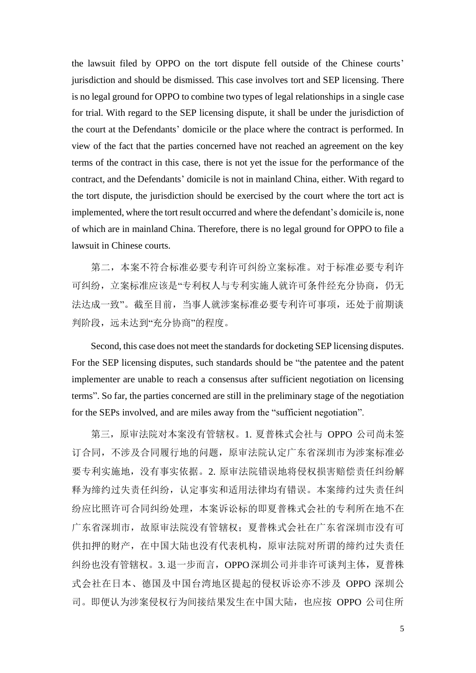the lawsuit filed by OPPO on the tort dispute fell outside of the Chinese courts' jurisdiction and should be dismissed. This case involves tort and SEP licensing. There is no legal ground for OPPO to combine two types of legal relationships in a single case for trial. With regard to the SEP licensing dispute, it shall be under the jurisdiction of the court at the Defendants' domicile or the place where the contract is performed. In view of the fact that the parties concerned have not reached an agreement on the key terms of the contract in this case, there is not yet the issue for the performance of the contract, and the Defendants' domicile is not in mainland China, either. With regard to the tort dispute, the jurisdiction should be exercised by the court where the tort act is implemented, where the tort result occurred and where the defendant's domicile is, none of which are in mainland China. Therefore, there is no legal ground for OPPO to file a lawsuit in Chinese courts.

第二,本案不符合标准必要专利许可纠纷立案标准。对于标准必要专利许 可纠纷,立案标准应该是"专利权人与专利实施人就许可条件经充分协商,仍无 法达成一致"。截至目前,当事人就涉案标准必要专利许可事项,还处于前期谈 判阶段,远未达到"充分协商"的程度。

Second, this case does not meet the standards for docketing SEP licensing disputes. For the SEP licensing disputes, such standards should be "the patentee and the patent implementer are unable to reach a consensus after sufficient negotiation on licensing terms". So far, the parties concerned are still in the preliminary stage of the negotiation for the SEPs involved, and are miles away from the "sufficient negotiation".

第三,原审法院对本案没有管辖权。1. 夏普株式会社与 OPPO 公司尚未签 订合同,不涉及合同履行地的问题,原审法院认定广东省深圳市为涉案标准必 要专利实施地,没有事实依据。2. 原审法院错误地将侵权损害赔偿责任纠纷解 释为缔约过失责任纠纷,认定事实和适用法律均有错误。本案缔约过失责任纠 纷应比照许可合同纠纷处理,本案诉讼标的即夏普株式会社的专利所在地不在 广东省深圳市,故原审法院没有管辖权;夏普株式会社在广东省深圳市没有可 供扣押的财产,在中国大陆也没有代表机构,原审法院对所谓的缔约过失责任 纠纷也没有管辖权。3. 退一步而言,OPPO深圳公司并非许可谈判主体,夏普株 式会社在日本、德国及中国台湾地区提起的侵权诉讼亦不涉及 OPPO 深圳公 司。即便认为涉案侵权行为间接结果发生在中国大陆,也应按 OPPO 公司住所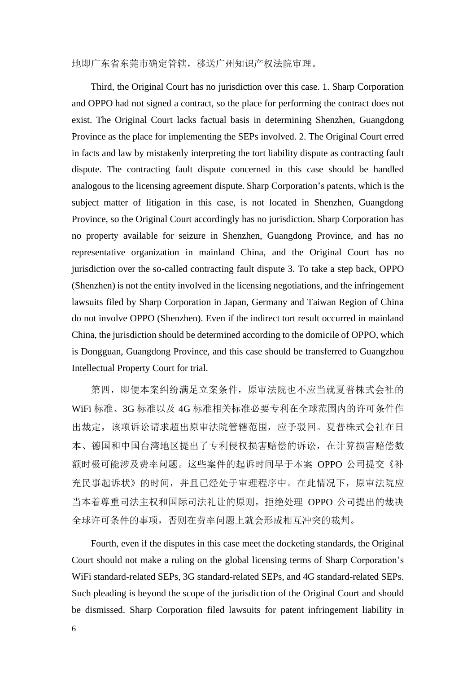地即广东省东莞市确定管辖,移送广州知识产权法院审理。

Third, the Original Court has no jurisdiction over this case. 1. Sharp Corporation and OPPO had not signed a contract, so the place for performing the contract does not exist. The Original Court lacks factual basis in determining Shenzhen, Guangdong Province as the place for implementing the SEPs involved. 2. The Original Court erred in facts and law by mistakenly interpreting the tort liability dispute as contracting fault dispute. The contracting fault dispute concerned in this case should be handled analogous to the licensing agreement dispute. Sharp Corporation's patents, which is the subject matter of litigation in this case, is not located in Shenzhen, Guangdong Province, so the Original Court accordingly has no jurisdiction. Sharp Corporation has no property available for seizure in Shenzhen, Guangdong Province, and has no representative organization in mainland China, and the Original Court has no jurisdiction over the so-called contracting fault dispute 3. To take a step back, OPPO (Shenzhen) is not the entity involved in the licensing negotiations, and the infringement lawsuits filed by Sharp Corporation in Japan, Germany and Taiwan Region of China do not involve OPPO (Shenzhen). Even if the indirect tort result occurred in mainland China, the jurisdiction should be determined according to the domicile of OPPO, which is Dongguan, Guangdong Province, and this case should be transferred to Guangzhou Intellectual Property Court for trial.

第四,即便本案纠纷满足立案条件,原审法院也不应当就夏普株式会社的 WiFi 标准、3G 标准以及 4G 标准相关标准必要专利在全球范围内的许可条件作 出裁定,该项诉讼请求超出原审法院管辖范围,应予驳回。夏普株式会社在日 本、德国和中国台湾地区提出了专利侵权损害赔偿的诉讼,在计算损害赔偿数 额时极可能涉及费率问题。这些案件的起诉时间早于本案 OPPO 公司提交《补 充民事起诉状》的时间,并且已经处于审理程序中。在此情况下,原审法院应 当本着尊重司法主权和国际司法礼让的原则,拒绝处理 OPPO 公司提出的裁决 全球许可条件的事项,否则在费率问题上就会形成相互冲突的裁判。

Fourth, even if the disputes in this case meet the docketing standards, the Original Court should not make a ruling on the global licensing terms of Sharp Corporation's WiFi standard-related SEPs, 3G standard-related SEPs, and 4G standard-related SEPs. Such pleading is beyond the scope of the jurisdiction of the Original Court and should be dismissed. Sharp Corporation filed lawsuits for patent infringement liability in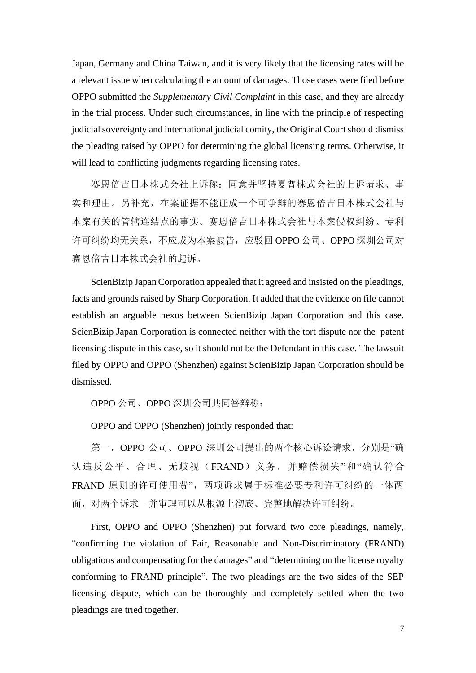Japan, Germany and China Taiwan, and it is very likely that the licensing rates will be a relevant issue when calculating the amount of damages. Those cases were filed before OPPO submitted the *Supplementary Civil Complaint* in this case, and they are already in the trial process. Under such circumstances, in line with the principle of respecting judicial sovereignty and international judicial comity, the Original Court should dismiss the pleading raised by OPPO for determining the global licensing terms. Otherwise, it will lead to conflicting judgments regarding licensing rates.

赛恩倍吉日本株式会社上诉称:同意并坚持夏普株式会社的上诉请求、事 实和理由。另补充,在案证据不能证成一个可争辩的赛恩倍吉日本株式会社与 本案有关的管辖连结点的事实。赛恩倍吉日本株式会社与本案侵权纠纷、专利 许可纠纷均无关系,不应成为本案被告,应驳回 OPPO 公司、OPPO 深圳公司对 赛恩倍吉日本株式会社的起诉。

ScienBizip Japan Corporation appealed that it agreed and insisted on the pleadings, facts and grounds raised by Sharp Corporation. It added that the evidence on file cannot establish an arguable nexus between ScienBizip Japan Corporation and this case. ScienBizip Japan Corporation is connected neither with the tort dispute nor the patent licensing dispute in this case, so it should not be the Defendant in this case. The lawsuit filed by OPPO and OPPO (Shenzhen) against ScienBizip Japan Corporation should be dismissed.

OPPO 公司、OPPO 深圳公司共同答辩称:

OPPO and OPPO (Shenzhen) jointly responded that:

第一, OPPO 公司、OPPO 深圳公司提出的两个核心诉讼请求, 分别是"确 认违反公平、合理、无歧视(FRAND)义务,并赔偿损失"和"确认符合 FRAND 原则的许可使用费",两项诉求属于标准必要专利许可纠纷的一体两 面,对两个诉求一并审理可以从根源上彻底、完整地解决许可纠纷。

First, OPPO and OPPO (Shenzhen) put forward two core pleadings, namely, "confirming the violation of Fair, Reasonable and Non-Discriminatory (FRAND) obligations and compensating for the damages" and "determining on the license royalty conforming to FRAND principle". The two pleadings are the two sides of the SEP licensing dispute, which can be thoroughly and completely settled when the two pleadings are tried together.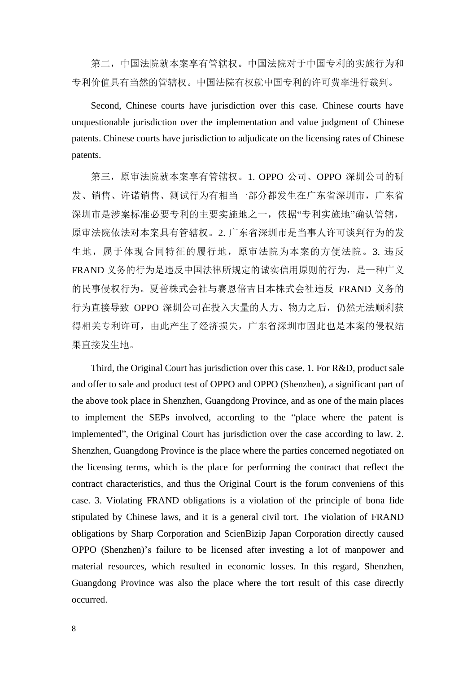第二,中国法院就本案享有管辖权。中国法院对于中国专利的实施行为和 专利价值具有当然的管辖权。中国法院有权就中国专利的许可费率进行裁判。

Second, Chinese courts have jurisdiction over this case. Chinese courts have unquestionable jurisdiction over the implementation and value judgment of Chinese patents. Chinese courts have jurisdiction to adjudicate on the licensing rates of Chinese patents.

第三,原审法院就本案享有管辖权。1. OPPO 公司、OPPO 深圳公司的研 发、销售、许诺销售、测试行为有相当一部分都发生在广东省深圳市,广东省 深圳市是涉案标准必要专利的主要实施地之一,依据"专利实施地"确认管辖, 原审法院依法对本案具有管辖权。2. 广东省深圳市是当事人许可谈判行为的发 生地,属于体现合同特征的履行地,原审法院为本案的方便法院。3. 违反 FRAND 义务的行为是违反中国法律所规定的诚实信用原则的行为, 是一种广义 的民事侵权行为。夏普株式会社与赛恩倍吉日本株式会社违反 FRAND 义务的 行为直接导致 OPPO 深圳公司在投入大量的人力、物力之后,仍然无法顺利获 得相关专利许可,由此产生了经济损失,广东省深圳市因此也是本案的侵权结 果直接发生地。

Third, the Original Court has jurisdiction over this case. 1. For R&D, product sale and offer to sale and product test of OPPO and OPPO (Shenzhen), a significant part of the above took place in Shenzhen, Guangdong Province, and as one of the main places to implement the SEPs involved, according to the "place where the patent is implemented", the Original Court has jurisdiction over the case according to law. 2. Shenzhen, Guangdong Province is the place where the parties concerned negotiated on the licensing terms, which is the place for performing the contract that reflect the contract characteristics, and thus the Original Court is the forum conveniens of this case. 3. Violating FRAND obligations is a violation of the principle of bona fide stipulated by Chinese laws, and it is a general civil tort. The violation of FRAND obligations by Sharp Corporation and ScienBizip Japan Corporation directly caused OPPO (Shenzhen)'s failure to be licensed after investing a lot of manpower and material resources, which resulted in economic losses. In this regard, Shenzhen, Guangdong Province was also the place where the tort result of this case directly occurred.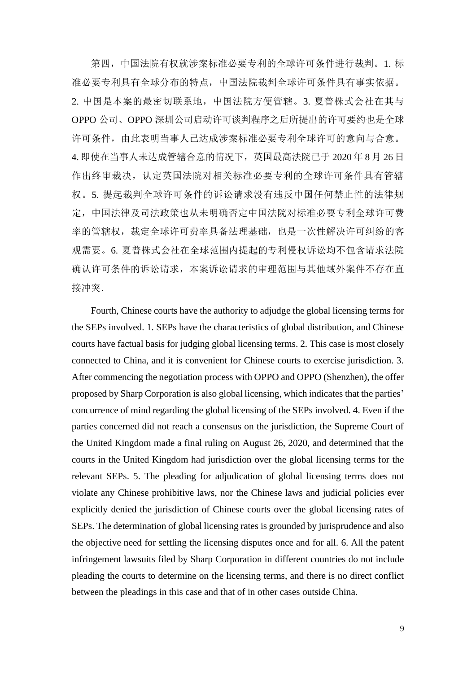第四,中国法院有权就涉案标准必要专利的全球许可条件进行裁判。1. 标 准必要专利具有全球分布的特点,中国法院裁判全球许可条件具有事实依据。 2. 中国是本案的最密切联系地,中国法院方便管辖。3. 夏普株式会社在其与 OPPO 公司、OPPO 深圳公司启动许可谈判程序之后所提出的许可要约也是全球 许可条件,由此表明当事人已达成涉案标准必要专利全球许可的意向与合意。 4. 即使在当事人未达成管辖合意的情况下,英国最高法院已于 2020 年 8 月 26 日 作出终审裁决,认定英国法院对相关标准必要专利的全球许可条件具有管辖 权。5. 提起裁判全球许可条件的诉讼请求没有违反中国任何禁止性的法律规 定,中国法律及司法政策也从未明确否定中国法院对标准必要专利全球许可费 率的管辖权,裁定全球许可费率具备法理基础,也是一次性解决许可纠纷的客 观需要。6. 夏普株式会社在全球范围内提起的专利侵权诉讼均不包含请求法院 确认许可条件的诉讼请求,本案诉讼请求的审理范围与其他域外案件不存在直 接冲突.

Fourth, Chinese courts have the authority to adjudge the global licensing terms for the SEPs involved. 1. SEPs have the characteristics of global distribution, and Chinese courts have factual basis for judging global licensing terms. 2. This case is most closely connected to China, and it is convenient for Chinese courts to exercise jurisdiction. 3. After commencing the negotiation process with OPPO and OPPO (Shenzhen), the offer proposed by Sharp Corporation is also global licensing, which indicates that the parties' concurrence of mind regarding the global licensing of the SEPs involved. 4. Even if the parties concerned did not reach a consensus on the jurisdiction, the Supreme Court of the United Kingdom made a final ruling on August 26, 2020, and determined that the courts in the United Kingdom had jurisdiction over the global licensing terms for the relevant SEPs. 5. The pleading for adjudication of global licensing terms does not violate any Chinese prohibitive laws, nor the Chinese laws and judicial policies ever explicitly denied the jurisdiction of Chinese courts over the global licensing rates of SEPs. The determination of global licensing rates is grounded by jurisprudence and also the objective need for settling the licensing disputes once and for all. 6. All the patent infringement lawsuits filed by Sharp Corporation in different countries do not include pleading the courts to determine on the licensing terms, and there is no direct conflict between the pleadings in this case and that of in other cases outside China.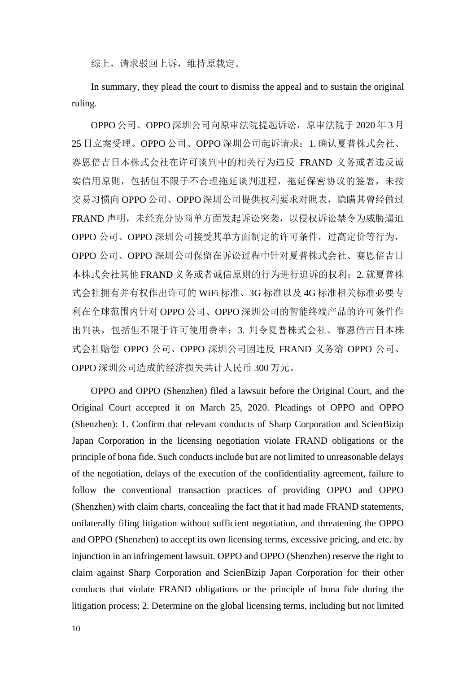综上,请求驳回上诉,维持原载定。

In summary, they plead the court to dismiss the appeal and to sustain the original ruling.

OPPO 公司、OPPO 深圳公司向原审法院提起诉讼,原审法院于 2020年 3月 25 日立案受理。OPPO 公司、OPPO 深圳公司起诉请求:1. 确认夏普株式会社、 赛恩倍吉日本株式会社在许可谈判中的相关行为违反 FRAND 义务或者违反诚 实信用原则,包括但不限于不合理拖延谈判进程,拖延保密协议的签署,未按 交易习惯向 OPPO 公司、OPPO 深圳公司提供权利要求对照表,隐瞒其曾经做过 FRAND 声明,未经充分协商单方面发起诉讼突袭,以侵权诉讼禁令为威胁逼迫 OPPO 公司、OPPO 深圳公司接受其单方面制定的许可条件,过高定价等行为, OPPO 公司、OPPO 深圳公司保留在诉讼过程中针对夏普株式会社、赛恩倍吉日 本株式会社其他 FRAND 义务或者诚信原则的行为进行追诉的权利; 2. 就夏普株 式会社拥有并有权作出许可的 WiFi 标准、3G 标准以及 4G 标准相关标准必要专 利在全球范围内针对 OPPO 公司、OPPO 深圳公司的智能终端产品的许可条件作 出判决,包括但不限于许可使用费率;3. 判令夏普株式会社、赛恩倍吉日本株 式会社赔偿 OPPO 公司、OPPO 深圳公司因违反 FRAND 义务给 OPPO 公司、 OPPO 深圳公司造成的经济损失共计人民币 300 万元。

OPPO and OPPO (Shenzhen) filed a lawsuit before the Original Court, and the Original Court accepted it on March 25, 2020. Pleadings of OPPO and OPPO (Shenzhen): 1. Confirm that relevant conducts of Sharp Corporation and ScienBizip Japan Corporation in the licensing negotiation violate FRAND obligations or the principle of bona fide. Such conducts include but are not limited to unreasonable delays of the negotiation, delays of the execution of the confidentiality agreement, failure to follow the conventional transaction practices of providing OPPO and OPPO (Shenzhen) with claim charts, concealing the fact that it had made FRAND statements, unilaterally filing litigation without sufficient negotiation, and threatening the OPPO and OPPO (Shenzhen) to accept its own licensing terms, excessive pricing, and etc. by injunction in an infringement lawsuit. OPPO and OPPO (Shenzhen) reserve the right to claim against Sharp Corporation and ScienBizip Japan Corporation for their other conducts that violate FRAND obligations or the principle of bona fide during the litigation process; 2. Determine on the global licensing terms, including but not limited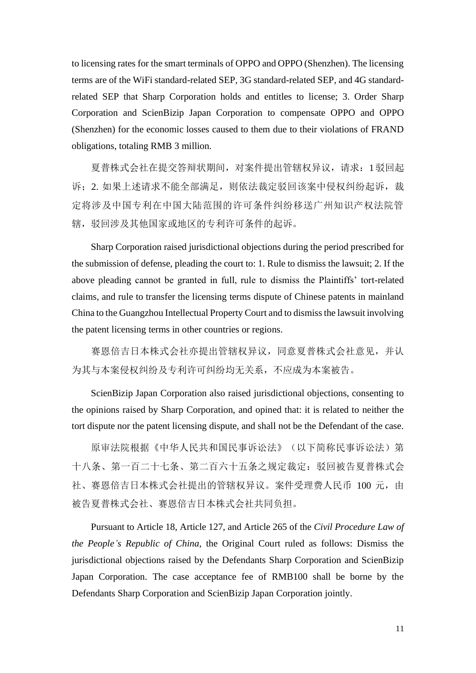to licensing rates for the smart terminals of OPPO and OPPO (Shenzhen). The licensing terms are of the WiFi standard-related SEP, 3G standard-related SEP, and 4G standardrelated SEP that Sharp Corporation holds and entitles to license; 3. Order Sharp Corporation and ScienBizip Japan Corporation to compensate OPPO and OPPO (Shenzhen) for the economic losses caused to them due to their violations of FRAND obligations, totaling RMB 3 million.

夏普株式会社在提交答辩状期间,对案件提出管辖权异议,请求:1驳回起 诉; 2. 如果上述请求不能全部满足, 则依法裁定驳回该案中侵权纠纷起诉, 裁 定将涉及中国专利在中国大陆范围的许可条件纠纷移送广州知识产权法院管 辖,驳回涉及其他国家或地区的专利许可条件的起诉。

Sharp Corporation raised jurisdictional objections during the period prescribed for the submission of defense, pleading the court to: 1. Rule to dismiss the lawsuit; 2. If the above pleading cannot be granted in full, rule to dismiss the Plaintiffs' tort-related claims, and rule to transfer the licensing terms dispute of Chinese patents in mainland China to the Guangzhou Intellectual Property Court and to dismiss the lawsuit involving the patent licensing terms in other countries or regions.

赛恩倍吉日本株式会社亦提出管辖权异议,同意夏普株式会社意见,并认 为其与本案侵权纠纷及专利许可纠纷均无关系,不应成为本案被告。

ScienBizip Japan Corporation also raised jurisdictional objections, consenting to the opinions raised by Sharp Corporation, and opined that: it is related to neither the tort dispute nor the patent licensing dispute, and shall not be the Defendant of the case.

原审法院根据《中华人民共和国民事诉讼法》(以下简称民事诉讼法)第 十八条、第一百二十七条、第二百六十五条之规定裁定:驳回被告夏普株式会 社、赛恩倍吉日本株式会社提出的管辖权异议。案件受理费人民币 100 元, 由 被告夏普株式会社、赛恩倍吉日本株式会社共同负担。

Pursuant to Article 18, Article 127, and Article 265 of the *Civil Procedure Law of the People's Republic of China*, the Original Court ruled as follows: Dismiss the jurisdictional objections raised by the Defendants Sharp Corporation and ScienBizip Japan Corporation. The case acceptance fee of RMB100 shall be borne by the Defendants Sharp Corporation and ScienBizip Japan Corporation jointly.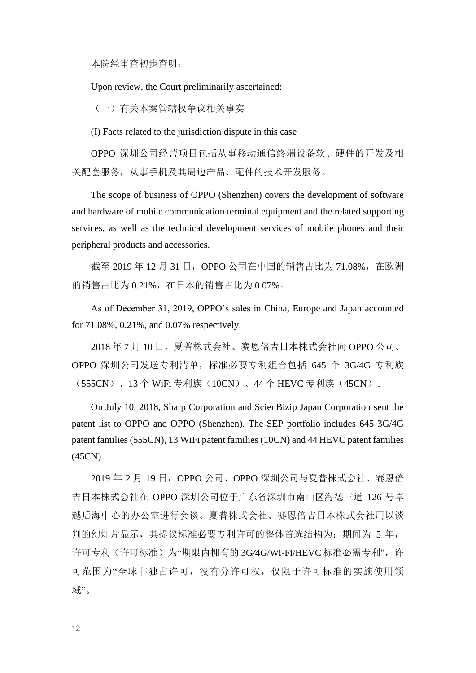本院经审查初步查明:

Upon review, the Court preliminarily ascertained:

(一)有关本案管辖权争议相关事实

(I) Facts related to the jurisdiction dispute in this case

OPPO 深圳公司经营项目包括从事移动通信终端设备软、硬件的开发及相 关配套服务,从事手机及其周边产品、配件的技术开发服务。

The scope of business of OPPO (Shenzhen) covers the development of software and hardware of mobile communication terminal equipment and the related supporting services, as well as the technical development services of mobile phones and their peripheral products and accessories.

截至 2019 年 12 月 31 日, OPPO 公司在中国的销售占比为 71.08%, 在欧洲 的销售占比为 0.21%,在日本的销售占比为 0.07%。

As of December 31, 2019, OPPO's sales in China, Europe and Japan accounted for 71.08%, 0.21%, and 0.07% respectively.

2018 年 7 月 10 日,夏普株式会社、赛恩倍吉日本株式会社向 OPPO 公司、 OPPO 深圳公司发送专利清单,标准必要专利组合包括 645 个 3G/4G 专利族 (555CN)、13 个 WiFi 专利族(10CN)、44 个 HEVC 专利族(45CN)。

On July 10, 2018, Sharp Corporation and ScienBizip Japan Corporation sent the patent list to OPPO and OPPO (Shenzhen). The SEP portfolio includes 645 3G/4G patent families (555CN), 13 WiFi patent families (10CN) and 44 HEVC patent families (45CN).

2019年 2 月 19 日, OPPO 公司、OPPO 深圳公司与夏普株式会社、赛恩倍 吉日本株式会社在 OPPO 深圳公司位于广东省深圳市南山区海德三道 126 号卓 越后海中心的办公室进行会谈。夏普株式会社、赛恩倍吉日本株式会社用以谈 判的幻灯片显示,其提议标准必要专利许可的整体首选结构为: 期间为 5 年, 许可专利(许可标准)为"期限内拥有的 3G/4G/Wi-Fi/HEVC 标准必需专利",许 可范围为"全球非独占许可,没有分许可权,仅限于许可标准的实施使用领 域"。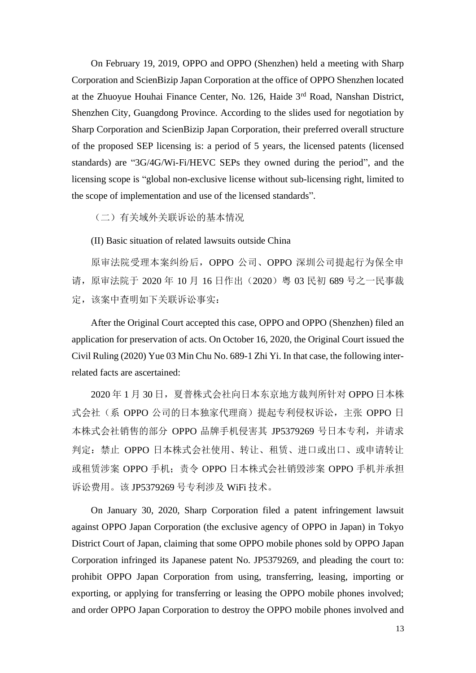On February 19, 2019, OPPO and OPPO (Shenzhen) held a meeting with Sharp Corporation and ScienBizip Japan Corporation at the office of OPPO Shenzhen located at the Zhuoyue Houhai Finance Center, No. 126, Haide 3rd Road, Nanshan District, Shenzhen City, Guangdong Province. According to the slides used for negotiation by Sharp Corporation and ScienBizip Japan Corporation, their preferred overall structure of the proposed SEP licensing is: a period of 5 years, the licensed patents (licensed standards) are "3G/4G/Wi-Fi/HEVC SEPs they owned during the period", and the licensing scope is "global non-exclusive license without sub-licensing right, limited to the scope of implementation and use of the licensed standards".

(二)有关域外关联诉讼的基本情况

(II) Basic situation of related lawsuits outside China

原审法院受理本案纠纷后,OPPO 公司、OPPO 深圳公司提起行为保全申 请,原审法院于 2020 年 10 月 16 日作出(2020)粤 03 民初 689 号之一民事裁 定,该案中查明如下关联诉讼事实:

After the Original Court accepted this case, OPPO and OPPO (Shenzhen) filed an application for preservation of acts. On October 16, 2020, the Original Court issued the Civil Ruling (2020) Yue 03 Min Chu No. 689-1 Zhi Yi. In that case, the following interrelated facts are ascertained:

2020 年 1 月 30 日,夏普株式会社向日本东京地方裁判所针对 OPPO 日本株 式会社(系 OPPO 公司的日本独家代理商)提起专利侵权诉讼,主张 OPPO 日 本株式会社销售的部分 OPPO 品牌手机侵害其 JP5379269 号日本专利,并请求 判定:禁止 OPPO 日本株式会社使用、转让、租赁、进口或出口、或申请转让 或租赁涉案 OPPO 手机;责令 OPPO 日本株式会社销毁涉案 OPPO 手机并承担 诉讼费用。该 JP5379269 号专利涉及 WiFi 技术。

On January 30, 2020, Sharp Corporation filed a patent infringement lawsuit against OPPO Japan Corporation (the exclusive agency of OPPO in Japan) in Tokyo District Court of Japan, claiming that some OPPO mobile phones sold by OPPO Japan Corporation infringed its Japanese patent No. JP5379269, and pleading the court to: prohibit OPPO Japan Corporation from using, transferring, leasing, importing or exporting, or applying for transferring or leasing the OPPO mobile phones involved; and order OPPO Japan Corporation to destroy the OPPO mobile phones involved and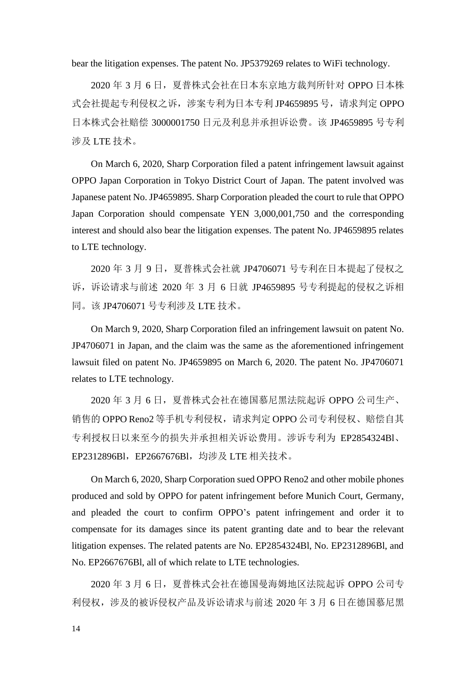bear the litigation expenses. The patent No. JP5379269 relates to WiFi technology.

2020 年 3 月 6 日,夏普株式会社在日本东京地方裁判所针对 OPPO 日本株 式会社提起专利侵权之诉,涉案专利为日本专利 JP4659895 号,请求判定 OPPO 日本株式会社赔偿 3000001750 日元及利息并承担诉讼费。该 JP4659895 号专利 涉及 LTE 技术。

On March 6, 2020, Sharp Corporation filed a patent infringement lawsuit against OPPO Japan Corporation in Tokyo District Court of Japan. The patent involved was Japanese patent No. JP4659895. Sharp Corporation pleaded the court to rule that OPPO Japan Corporation should compensate YEN 3,000,001,750 and the corresponding interest and should also bear the litigation expenses. The patent No. JP4659895 relates to LTE technology.

2020 年 3 月 9 日,夏普株式会社就 JP4706071 号专利在日本提起了侵权之 诉,诉讼请求与前述 2020 年 3 月 6 日就 JP4659895 号专利提起的侵权之诉相 同。该 JP4706071 号专利涉及 LTE 技术。

On March 9, 2020, Sharp Corporation filed an infringement lawsuit on patent No. JP4706071 in Japan, and the claim was the same as the aforementioned infringement lawsuit filed on patent No. JP4659895 on March 6, 2020. The patent No. JP4706071 relates to LTE technology.

2020 年 3 月 6 日,夏普株式会社在德国慕尼黑法院起诉 OPPO 公司生产、 销售的 OPPO Reno2 等手机专利侵权,请求判定 OPPO 公司专利侵权、赔偿自其 专利授权日以来至今的损失并承担相关诉讼费用。涉诉专利为 EP2854324Bl、 EP2312896Bl,EP2667676Bl,均涉及 LTE 相关技术。

On March 6, 2020, Sharp Corporation sued OPPO Reno2 and other mobile phones produced and sold by OPPO for patent infringement before Munich Court, Germany, and pleaded the court to confirm OPPO's patent infringement and order it to compensate for its damages since its patent granting date and to bear the relevant litigation expenses. The related patents are No. EP2854324Bl, No. EP2312896Bl, and No. EP2667676Bl, all of which relate to LTE technologies.

2020 年 3 月 6 日,夏普株式会社在德国曼海姆地区法院起诉 OPPO 公司专 利侵权,涉及的被诉侵权产品及诉讼请求与前述 2020 年 3 月 6 日在德国慕尼黑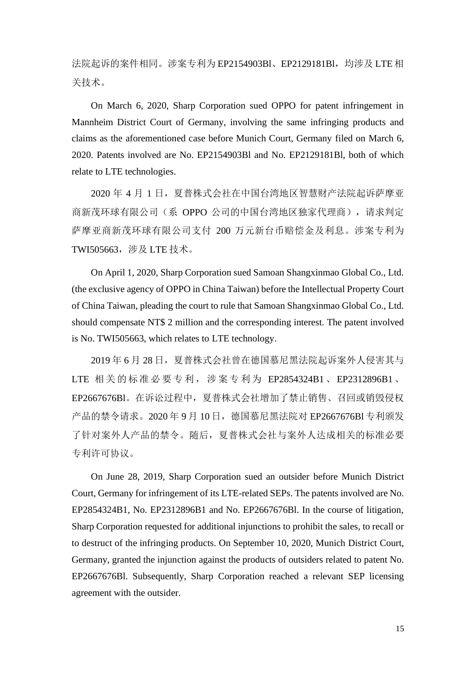法院起诉的案件相同。涉案专利为 EP2154903Bl、EP2129181Bl, 均涉及 LTE 相 关技术。

On March 6, 2020, Sharp Corporation sued OPPO for patent infringement in Mannheim District Court of Germany, involving the same infringing products and claims as the aforementioned case before Munich Court, Germany filed on March 6, 2020. Patents involved are No. EP2154903Bl and No. EP2129181Bl, both of which relate to LTE technologies.

2020 年 4 月 1 日,夏普株式会社在中国台湾地区智慧财产法院起诉萨摩亚 商新茂环球有限公司(系 OPPO 公司的中国台湾地区独家代理商), 请求判定 萨摩亚商新茂环球有限公司支付 200 万元新台币赔偿金及利息。涉案专利为 TWI505663,涉及 LTE 技术。

On April 1, 2020, Sharp Corporation sued Samoan Shangxinmao Global Co., Ltd. (the exclusive agency of OPPO in China Taiwan) before the Intellectual Property Court of China Taiwan, pleading the court to rule that Samoan Shangxinmao Global Co., Ltd. should compensate NT\$ 2 million and the corresponding interest. The patent involved is No. TWI505663, which relates to LTE technology.

2019年 6月 28日, 夏普株式会社曾在德国慕尼黑法院起诉案外人侵害其与 LTE 相关 的标准必 要专利, 涉案专 利为 EP2854324B1 、 EP2312896B1 、 EP2667676Bl。在诉讼过程中,夏普株式会社增加了禁止销售、召回或销毁侵权 产品的禁令请求。2020年9月10日,德国慕尼黑法院对 EP2667676Bl 专利颁发 了针对案外人产品的禁令。随后,夏普株式会社与案外人达成相关的标准必要 专利许可协议。

On June 28, 2019, Sharp Corporation sued an outsider before Munich District Court, Germany for infringement of its LTE-related SEPs. The patents involved are No. EP2854324B1, No. EP2312896B1 and No. EP2667676Bl. In the course of litigation, Sharp Corporation requested for additional injunctions to prohibit the sales, to recall or to destruct of the infringing products. On September 10, 2020, Munich District Court, Germany, granted the injunction against the products of outsiders related to patent No. EP2667676Bl. Subsequently, Sharp Corporation reached a relevant SEP licensing agreement with the outsider.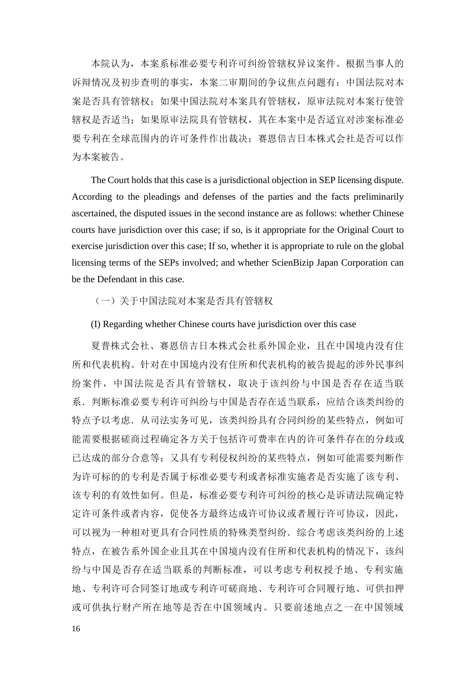本院认为,本案系标准必要专利许可纠纷管辖权异议案件。根据当事人的 诉辩情况及初步查明的事实,本案二审期间的争议焦点问题有:中国法院对本 案是否具有管辖权;如果中国法院对本案具有管辖权,原审法院对本案行使管 辖权是否适当;如果原审法院具有管辖权,其在本案中是否适宜对涉案标准必 要专利在全球范围内的许可条件作出裁决: 赛恩倍吉日本株式会社是否可以作 为本案被告。

The Court holds that this case is a jurisdictional objection in SEP licensing dispute. According to the pleadings and defenses of the parties and the facts preliminarily ascertained, the disputed issues in the second instance are as follows: whether Chinese courts have jurisdiction over this case; if so, is it appropriate for the Original Court to exercise jurisdiction over this case; If so, whether it is appropriate to rule on the global licensing terms of the SEPs involved; and whether ScienBizip Japan Corporation can be the Defendant in this case.

(一)关于中国法院对本案是否具有管辖权

(I) Regarding whether Chinese courts have jurisdiction over this case

夏普株式会社、赛恩倍吉日本株式会社系外国企业,且在中国境内没有住 所和代表机构。针对在中国境内没有住所和代表机构的被告提起的涉外民事纠 纷案件,中国法院是否具有管辖权,取决于该纠纷与中国是否存在适当联 系.判断标准必要专利许可纠纷与中国是否存在适当联系,应结合该类纠纷的 特点予以考虑. 从司法实务可见, 该类纠纷具有合同纠纷的某些特点, 例如可 能需要根据磋商过程确定各方关于包括许可费率在内的许可条件存在的分歧或 已达成的部分合意等;又具有专利侵权纠纷的某些特点,例如可能需要判断作 为许可标的的专利是否属于标准必要专利或者标准实施者是否实施了该专利、 该专利的有效性如何。但是,标准必要专利许可纠纷的核心是诉请法院确定特 定许可条件或者内容,促使各方最终达成许可协议或者履行许可协议,因此, 可以视为一种相对更具有合同性质的特殊类型纠纷.综合考虑该类纠纷的上述 特点, 在被告系外国企业且其在中国境内没有住所和代表机构的情况下, 该纠 纷与中国是否存在适当联系的判断标准,可以考虑专利权授予地、专利实施 地、专利许可合同签订地或专利许可磋商地、专利许可合同履行地、可供扣押 或可供执行财产所在地等是否在中国领域内。只要前述地点之一在中国领域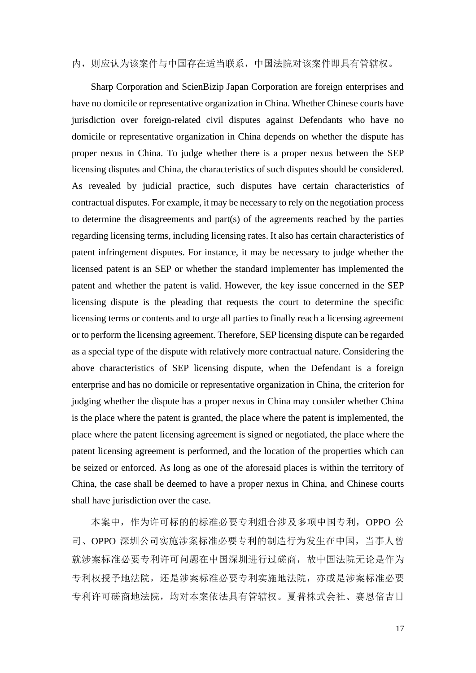# 内,则应认为该案件与中国存在适当联系,中国法院对该案件即具有管辖权。

Sharp Corporation and ScienBizip Japan Corporation are foreign enterprises and have no domicile or representative organization in China. Whether Chinese courts have jurisdiction over foreign-related civil disputes against Defendants who have no domicile or representative organization in China depends on whether the dispute has proper nexus in China. To judge whether there is a proper nexus between the SEP licensing disputes and China, the characteristics of such disputes should be considered. As revealed by judicial practice, such disputes have certain characteristics of contractual disputes. For example, it may be necessary to rely on the negotiation process to determine the disagreements and part(s) of the agreements reached by the parties regarding licensing terms, including licensing rates. It also has certain characteristics of patent infringement disputes. For instance, it may be necessary to judge whether the licensed patent is an SEP or whether the standard implementer has implemented the patent and whether the patent is valid. However, the key issue concerned in the SEP licensing dispute is the pleading that requests the court to determine the specific licensing terms or contents and to urge all parties to finally reach a licensing agreement or to perform the licensing agreement. Therefore, SEP licensing dispute can be regarded as a special type of the dispute with relatively more contractual nature. Considering the above characteristics of SEP licensing dispute, when the Defendant is a foreign enterprise and has no domicile or representative organization in China, the criterion for judging whether the dispute has a proper nexus in China may consider whether China is the place where the patent is granted, the place where the patent is implemented, the place where the patent licensing agreement is signed or negotiated, the place where the patent licensing agreement is performed, and the location of the properties which can be seized or enforced. As long as one of the aforesaid places is within the territory of China, the case shall be deemed to have a proper nexus in China, and Chinese courts shall have jurisdiction over the case.

本案中,作为许可标的的标准必要专利组合涉及多项中国专利,OPPO 公 司、OPPO 深圳公司实施涉案标准必要专利的制造行为发生在中国,当事人曾 就涉案标准必要专利许可问题在中国深圳进行过磋商,故中国法院无论是作为 专利权授予地法院,还是涉案标准必要专利实施地法院,亦或是涉案标准必要 专利许可磋商地法院,均对本案依法具有管辖权。夏普株式会社、赛恩倍吉日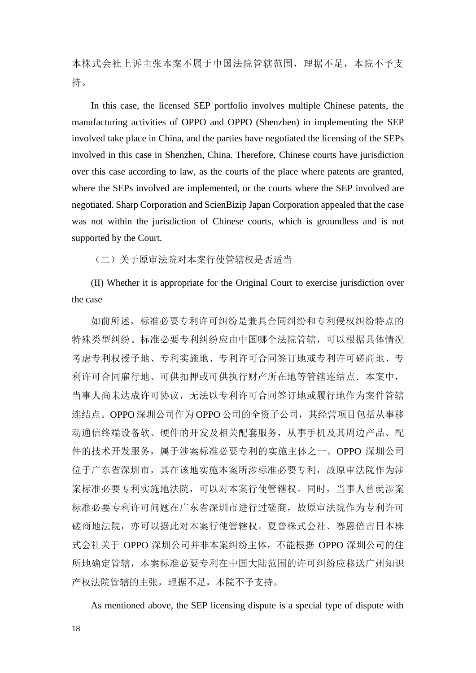本株式会社上诉主张本案不属于中国法院管辖范围,理据不足,本院不予支 持。

In this case, the licensed SEP portfolio involves multiple Chinese patents, the manufacturing activities of OPPO and OPPO (Shenzhen) in implementing the SEP involved take place in China, and the parties have negotiated the licensing of the SEPs involved in this case in Shenzhen, China. Therefore, Chinese courts have jurisdiction over this case according to law, as the courts of the place where patents are granted, where the SEPs involved are implemented, or the courts where the SEP involved are negotiated. Sharp Corporation and ScienBizip Japan Corporation appealed that the case was not within the jurisdiction of Chinese courts, which is groundless and is not supported by the Court.

(二)关于原审法院对本案行使管辖权是否适当

(II) Whether it is appropriate for the Original Court to exercise jurisdiction over the case

如前所述,标准必要专利许可纠纷是兼具合同纠纷和专利侵权纠纷特点的 特殊类型纠纷。标准必要专利纠纷应由中国哪个法院管辖,可以根据具体情况 考虑专利权授予地、专利实施地、专利许可合同签订地或专利许可磋商地、专 利许可合同雇行地、可供扣押或可供执行财产所在地等管辖连结点. 本案中, 当事人尚未达成许可协议,无法以专利许可合同签订地或履行地作为案件管辖 连结点。OPPO 深圳公司作为 OPPO 公司的全资子公司, 其经营项目包括从事移 动通信终端设备软、硬件的开发及相关配套服务,从事手机及其周边产品、配 件的技术开发服务,属于涉案标准必要专利的实施主体之一。OPPO 深圳公司 位于广东省深圳市,其在该地实施本案所涉标准必要专利,故原审法院作为涉 案标准必要专利实施地法院,可以对本案行使管辖权。同时,当事人曾就涉案 标准必要专利许可问题在广东省深圳市进行过磋商,故原审法院作为专利许可 磋商地法院,亦可以据此对本案行使管辖权。夏普株式会社、赛恩倍吉日本株 式会社关于 OPPO 深圳公司并非本案纠纷主体,不能根据 OPPO 深圳公司的住 所地确定管辖,本案标准必要专利在中国大陆范围的许可纠纷应移送广州知识 产权法院管辖的主张,理据不足,本院不予支持。

As mentioned above, the SEP licensing dispute is a special type of dispute with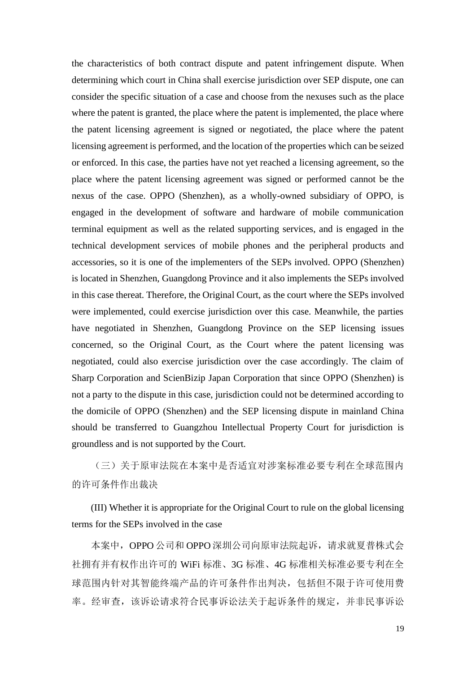the characteristics of both contract dispute and patent infringement dispute. When determining which court in China shall exercise jurisdiction over SEP dispute, one can consider the specific situation of a case and choose from the nexuses such as the place where the patent is granted, the place where the patent is implemented, the place where the patent licensing agreement is signed or negotiated, the place where the patent licensing agreement is performed, and the location of the properties which can be seized or enforced. In this case, the parties have not yet reached a licensing agreement, so the place where the patent licensing agreement was signed or performed cannot be the nexus of the case. OPPO (Shenzhen), as a wholly-owned subsidiary of OPPO, is engaged in the development of software and hardware of mobile communication terminal equipment as well as the related supporting services, and is engaged in the technical development services of mobile phones and the peripheral products and accessories, so it is one of the implementers of the SEPs involved. OPPO (Shenzhen) is located in Shenzhen, Guangdong Province and it also implements the SEPs involved in this case thereat. Therefore, the Original Court, as the court where the SEPs involved were implemented, could exercise jurisdiction over this case. Meanwhile, the parties have negotiated in Shenzhen, Guangdong Province on the SEP licensing issues concerned, so the Original Court, as the Court where the patent licensing was negotiated, could also exercise jurisdiction over the case accordingly. The claim of Sharp Corporation and ScienBizip Japan Corporation that since OPPO (Shenzhen) is not a party to the dispute in this case, jurisdiction could not be determined according to the domicile of OPPO (Shenzhen) and the SEP licensing dispute in mainland China should be transferred to Guangzhou Intellectual Property Court for jurisdiction is groundless and is not supported by the Court.

(三)关于原审法院在本案中是否适宜对涉案标准必要专利在全球范围内 的许可条件作出裁决

(III) Whether it is appropriate for the Original Court to rule on the global licensing terms for the SEPs involved in the case

本案中,OPPO 公司和 OPPO 深圳公司向原审法院起诉,请求就夏普株式会 社拥有并有权作出许可的 WiFi 标准、3G 标准、4G 标准相关标准必要专利在全 球范围内针对其智能终端产品的许可条件作出判决,包括但不限于许可使用费 率。经审查,该诉讼请求符合民事诉讼法关于起诉条件的规定,并非民事诉讼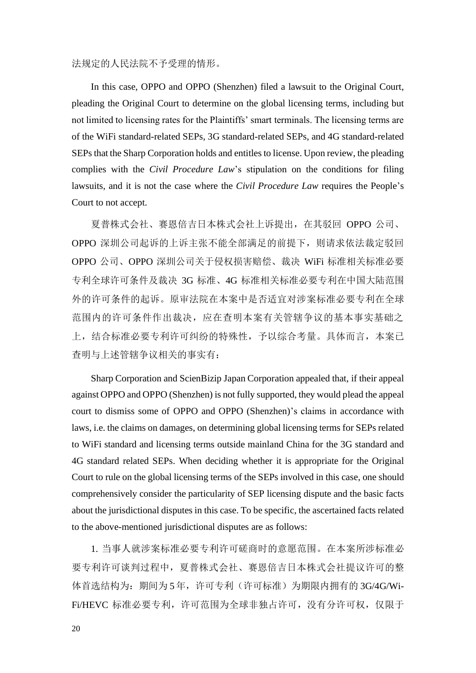#### 法规定的人民法院不予受理的情形。

In this case, OPPO and OPPO (Shenzhen) filed a lawsuit to the Original Court, pleading the Original Court to determine on the global licensing terms, including but not limited to licensing rates for the Plaintiffs' smart terminals. The licensing terms are of the WiFi standard-related SEPs, 3G standard-related SEPs, and 4G standard-related SEPs that the Sharp Corporation holds and entitles to license. Upon review, the pleading complies with the *Civil Procedure Law*'s stipulation on the conditions for filing lawsuits, and it is not the case where the *Civil Procedure Law* requires the People's Court to not accept.

夏普株式会社、赛恩倍吉日本株式会社上诉提出,在其驳回 OPPO 公司、 OPPO 深圳公司起诉的上诉主张不能全部满足的前提下,则请求依法裁定驳回 OPPO 公司、OPPO 深圳公司关于侵权损害赔偿、裁决 WiFi 标准相关标准必要 专利全球许可条件及裁决 3G 标准、4G 标准相关标准必要专利在中国大陆范围 外的许可条件的起诉。原审法院在本案中是否适宜对涉案标准必要专利在全球 范围内的许可条件作出裁决,应在查明本案有关管辖争议的基本事实基础之 上,结合标准必要专利许可纠纷的特殊性,予以综合考量。具体而言,本案已 查明与上述管辖争议相关的事实有:

Sharp Corporation and ScienBizip Japan Corporation appealed that, if their appeal against OPPO and OPPO (Shenzhen) is not fully supported, they would plead the appeal court to dismiss some of OPPO and OPPO (Shenzhen)'s claims in accordance with laws, i.e. the claims on damages, on determining global licensing terms for SEPs related to WiFi standard and licensing terms outside mainland China for the 3G standard and 4G standard related SEPs. When deciding whether it is appropriate for the Original Court to rule on the global licensing terms of the SEPs involved in this case, one should comprehensively consider the particularity of SEP licensing dispute and the basic facts about the jurisdictional disputes in this case. To be specific, the ascertained facts related to the above-mentioned jurisdictional disputes are as follows:

1. 当事人就涉案标准必要专利许可磋商时的意愿范围。在本案所涉标准必 要专利许可谈判过程中,夏普株式会社、赛恩倍吉日本株式会社提议许可的整 体首选结构为: 期间为 5年, 许可专利(许可标准)为期限内拥有的 3G/4G/Wi-Fi/HEVC 标准必要专利,许可可范围为全球非独占许可,没有分许可权,仅限于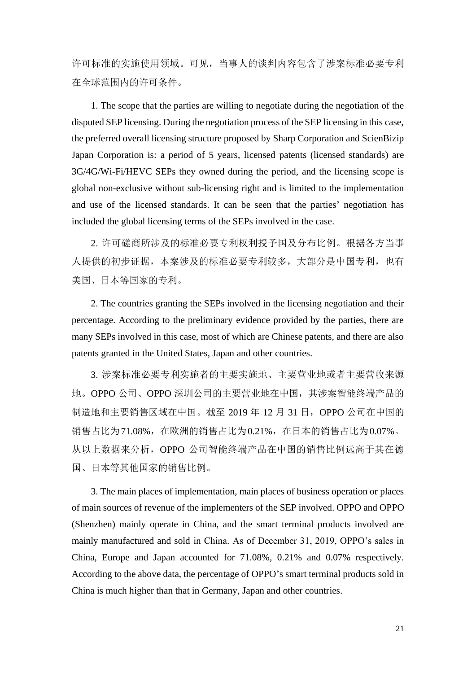许可标准的实施使用领域。可见,当事人的谈判内容包含了涉案标准必要专利 在全球范围内的许可条件。

1. The scope that the parties are willing to negotiate during the negotiation of the disputed SEP licensing. During the negotiation process of the SEP licensing in this case, the preferred overall licensing structure proposed by Sharp Corporation and ScienBizip Japan Corporation is: a period of 5 years, licensed patents (licensed standards) are 3G/4G/Wi-Fi/HEVC SEPs they owned during the period, and the licensing scope is global non-exclusive without sub-licensing right and is limited to the implementation and use of the licensed standards. It can be seen that the parties' negotiation has included the global licensing terms of the SEPs involved in the case.

2. 许可磋商所涉及的标准必要专利权利授予国及分布比例。根据各方当事 人提供的初步证据,本案涉及的标准必要专利较多,大部分是中国专利,也有 美国、日本等国家的专利。

2. The countries granting the SEPs involved in the licensing negotiation and their percentage. According to the preliminary evidence provided by the parties, there are many SEPs involved in this case, most of which are Chinese patents, and there are also patents granted in the United States, Japan and other countries.

3. 涉案标准必要专利实施者的主要实施地、主要营业地或者主要营收来源 地。OPPO 公司、OPPO 深圳公司的主要营业地在中国,其涉案智能终端产品的 制造地和主要销售区域在中国。截至 2019 年 12 月 31 日, OPPO 公司在中国的 销售占比为71.08%, 在欧洲的销售占比为0.21%, 在日本的销售占比为0.07%。 从以上数据来分析,OPPO 公司智能终端产品在中国的销售比例远高于其在德 国、日本等其他国家的销售比例。

3. The main places of implementation, main places of business operation or places of main sources of revenue of the implementers of the SEP involved. OPPO and OPPO (Shenzhen) mainly operate in China, and the smart terminal products involved are mainly manufactured and sold in China. As of December 31, 2019, OPPO's sales in China, Europe and Japan accounted for 71.08%, 0.21% and 0.07% respectively. According to the above data, the percentage of OPPO's smart terminal products sold in China is much higher than that in Germany, Japan and other countries.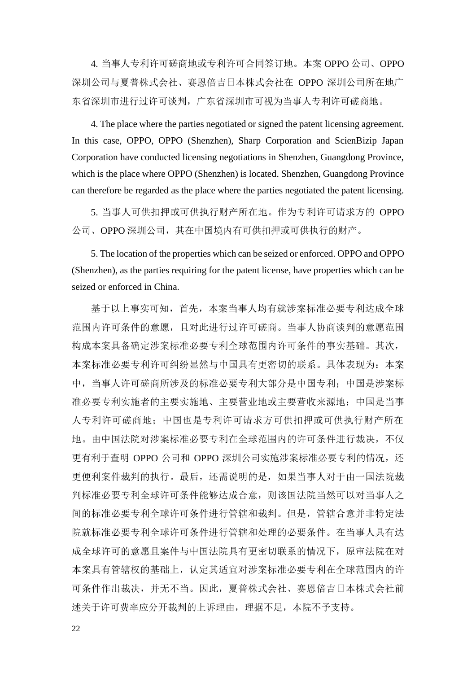4. 当事人专利许可磋商地或专利许可合同签订地。本案 OPPO 公司、OPPO 深圳公司与夏普株式会社、赛恩倍吉日本株式会社在 OPPO 深圳公司所在地广 东省深圳市进行过许可谈判,广东省深圳市可视为当事人专利许可磋商地。

4. The place where the parties negotiated or signed the patent licensing agreement. In this case, OPPO, OPPO (Shenzhen), Sharp Corporation and ScienBizip Japan Corporation have conducted licensing negotiations in Shenzhen, Guangdong Province, which is the place where OPPO (Shenzhen) is located. Shenzhen, Guangdong Province can therefore be regarded as the place where the parties negotiated the patent licensing.

5. 当事人可供扣押或可供执行财产所在地。作为专利许可请求方的 OPPO 公司、OPPO 深圳公司,其在中国境内有可供扣押或可供执行的财产。

5. The location of the properties which can be seized or enforced. OPPO and OPPO (Shenzhen), as the parties requiring for the patent license, have properties which can be seized or enforced in China.

基于以上事实可知,首先,本案当事人均有就涉案标准必要专利达成全球 范围内许可条件的意愿,且对此进行过许可磋商。当事人协商谈判的意愿范围 构成本案具备确定涉案标准必要专利全球范围内许可条件的事实基础。其次, 本案标准必要专利许可纠纷显然与中国具有更密切的联系。具体表现为:本案 中,当事人许可磋商所涉及的标准必要专利大部分是中国专利;中国是涉案标 准必要专利实施者的主要实施地、主要营业地或主要营收来源地;中国是当事 人专利许可磋商地;中国也是专利许可请求方可供扣押或可供执行财产所在 地。由中国法院对涉案标准必要专利在全球范围内的许可条件进行裁决,不仅 更有利于查明 OPPO 公司和 OPPO 深圳公司实施涉案标准必要专利的情况, 还 更便利案件裁判的执行。最后,还需说明的是,如果当事人对于由一国法院裁 判标准必要专利全球许可条件能够达成合意,则该国法院当然可以对当事人之 间的标准必要专利全球许可条件进行管辖和裁判。但是,管辖合意并非特定法 院就标准必要专利全球许可条件进行管辖和处理的必要条件。在当事人具有达 成全球许可的意愿且案件与中国法院具有更密切联系的情况下,原审法院在对 本案具有管辖权的基础上,认定其适宜对涉案标准必要专利在全球范围内的许 可条件作出裁决,并无不当。因此,夏普株式会社、赛恩倍吉日本株式会社前 述关于许可费率应分开裁判的上诉理由,理据不足,本院不予支持。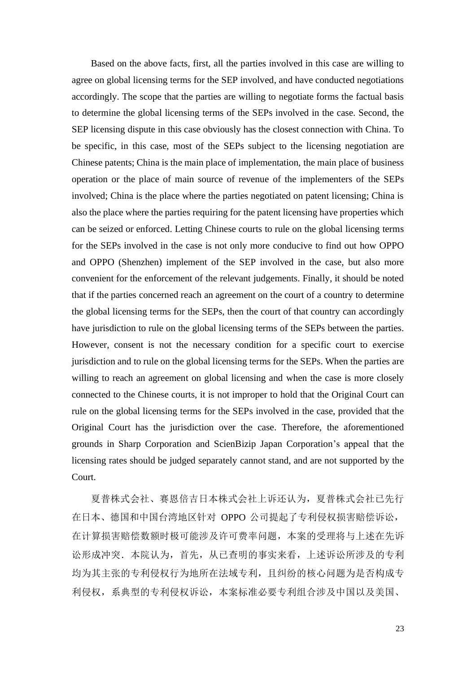Based on the above facts, first, all the parties involved in this case are willing to agree on global licensing terms for the SEP involved, and have conducted negotiations accordingly. The scope that the parties are willing to negotiate forms the factual basis to determine the global licensing terms of the SEPs involved in the case. Second, the SEP licensing dispute in this case obviously has the closest connection with China. To be specific, in this case, most of the SEPs subject to the licensing negotiation are Chinese patents; China is the main place of implementation, the main place of business operation or the place of main source of revenue of the implementers of the SEPs involved; China is the place where the parties negotiated on patent licensing; China is also the place where the parties requiring for the patent licensing have properties which can be seized or enforced. Letting Chinese courts to rule on the global licensing terms for the SEPs involved in the case is not only more conducive to find out how OPPO and OPPO (Shenzhen) implement of the SEP involved in the case, but also more convenient for the enforcement of the relevant judgements. Finally, it should be noted that if the parties concerned reach an agreement on the court of a country to determine the global licensing terms for the SEPs, then the court of that country can accordingly have jurisdiction to rule on the global licensing terms of the SEPs between the parties. However, consent is not the necessary condition for a specific court to exercise jurisdiction and to rule on the global licensing terms for the SEPs. When the parties are willing to reach an agreement on global licensing and when the case is more closely connected to the Chinese courts, it is not improper to hold that the Original Court can rule on the global licensing terms for the SEPs involved in the case, provided that the Original Court has the jurisdiction over the case. Therefore, the aforementioned grounds in Sharp Corporation and ScienBizip Japan Corporation's appeal that the licensing rates should be judged separately cannot stand, and are not supported by the Court.

夏普株式会社、赛恩倍吉日本株式会社上诉还认为,夏普株式会社已先行 在日本、德国和中国台湾地区针对 OPPO 公司提起了专利侵权损害赔偿诉讼, 在计算损害赔偿数额时极可能涉及许可费率问题,本案的受理将与上述在先诉 讼形成冲突.本院认为,首先,从已查明的事实来看,上述诉讼所涉及的专利 均为其主张的专利侵权行为地所在法域专利,且纠纷的核心问题为是否构成专 利侵权,系典型的专利侵权诉讼,本案标准必要专利组合涉及中国以及美国、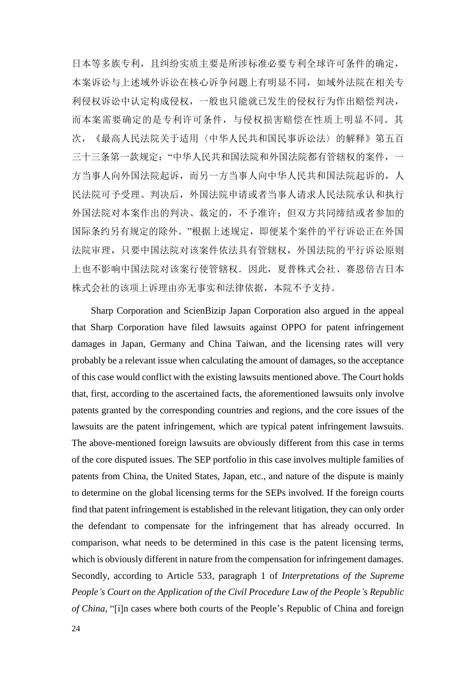日本等多族专利,且纠纷实质主要是所涉标准必要专利全球许可条件的确定, 本案诉讼与上述域外诉讼在核心诉争问题上有明显不同,如域外法院在相关专 利侵权诉讼中认定构成侵权,一般也只能就已发生的侵权行为作出赔偿判决, 而本案需要确定的是专利许可条件,与侵权损害赔偿在性质上明显不同。其 次,《最高人民法院关于适用〈中华人民共和国民事诉讼法〉的解释》第五百 三十三条第一款规定: "中华人民共和国法院和外国法院都有管辖权的案件, 一 方当事人向外国法院起诉,而另一方当事人向中华人民共和国法院起诉的,人 民法院可予受理。判决后,外国法院申请或者当事人请求人民法院承认和执行 外国法院对本案作出的判决、裁定的,不予准许;但双方共同缔结或者参加的 国际条约另有规定的除外。"根据上述规定,即便某个案件的平行诉讼正在外国 法院审理,只要中国法院对该案件依法具有管辖权,外国法院的平行诉讼原则 上也不影响中国法院对该案行使管辖权.因此,夏普株式会社、赛恩倍吉日本 株式会社的该项上诉理由亦无事实和法律依据,本院不予支持。

Sharp Corporation and ScienBizip Japan Corporation also argued in the appeal that Sharp Corporation have filed lawsuits against OPPO for patent infringement damages in Japan, Germany and China Taiwan, and the licensing rates will very probably be a relevant issue when calculating the amount of damages, so the acceptance of this case would conflict with the existing lawsuits mentioned above. The Court holds that, first, according to the ascertained facts, the aforementioned lawsuits only involve patents granted by the corresponding countries and regions, and the core issues of the lawsuits are the patent infringement, which are typical patent infringement lawsuits. The above-mentioned foreign lawsuits are obviously different from this case in terms of the core disputed issues. The SEP portfolio in this case involves multiple families of patents from China, the United States, Japan, etc., and nature of the dispute is mainly to determine on the global licensing terms for the SEPs involved. If the foreign courts find that patent infringement is established in the relevant litigation, they can only order the defendant to compensate for the infringement that has already occurred. In comparison, what needs to be determined in this case is the patent licensing terms, which is obviously different in nature from the compensation for infringement damages. Secondly, according to Article 533, paragraph 1 of *Interpretations of the Supreme People's Court on the Application of the Civil Procedure Law of the People's Republic of China*, "[i]n cases where both courts of the People's Republic of China and foreign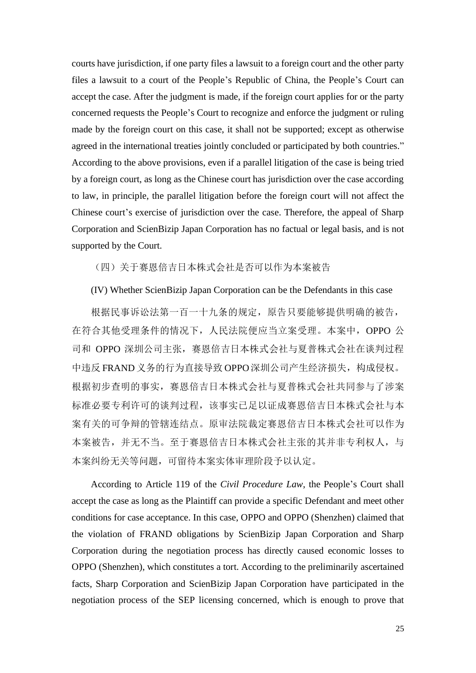courts have jurisdiction, if one party files a lawsuit to a foreign court and the other party files a lawsuit to a court of the People's Republic of China, the People's Court can accept the case. After the judgment is made, if the foreign court applies for or the party concerned requests the People's Court to recognize and enforce the judgment or ruling made by the foreign court on this case, it shall not be supported; except as otherwise agreed in the international treaties jointly concluded or participated by both countries." According to the above provisions, even if a parallel litigation of the case is being tried by a foreign court, as long as the Chinese court has jurisdiction over the case according to law, in principle, the parallel litigation before the foreign court will not affect the Chinese court's exercise of jurisdiction over the case. Therefore, the appeal of Sharp Corporation and ScienBizip Japan Corporation has no factual or legal basis, and is not supported by the Court.

(四)关于赛恩倍吉日本株式会社是否可以作为本案被告

(IV) Whether ScienBizip Japan Corporation can be the Defendants in this case

根据民事诉讼法第一百一十九条的规定,原告只要能够提供明确的被告, 在符合其他受理条件的情况下,人民法院便应当立案受理。本案中,OPPO 公 司和 OPPO 深圳公司主张,赛恩倍吉日本株式会社与夏普株式会社在谈判过程 中违反 FRAND 义务的行为直接导致 OPPO 深圳公司产生经济损失, 构成侵权。 根据初步查明的事实,赛恩倍吉日本株式会社与夏普株式会社共同参与了涉案 标准必要专利许可的谈判过程,该事实已足以证成赛恩倍吉日本株式会社与本 案有关的可争辩的管辖连结点。原审法院裁定赛恩倍吉日本株式会社可以作为 本案被告,并无不当。至于赛恩倍吉日本株式会社主张的其并非专利权人,与 本案纠纷无关等问题,可留待本案实体审理阶段予以认定。

According to Article 119 of the *Civil Procedure Law*, the People's Court shall accept the case as long as the Plaintiff can provide a specific Defendant and meet other conditions for case acceptance. In this case, OPPO and OPPO (Shenzhen) claimed that the violation of FRAND obligations by ScienBizip Japan Corporation and Sharp Corporation during the negotiation process has directly caused economic losses to OPPO (Shenzhen), which constitutes a tort. According to the preliminarily ascertained facts, Sharp Corporation and ScienBizip Japan Corporation have participated in the negotiation process of the SEP licensing concerned, which is enough to prove that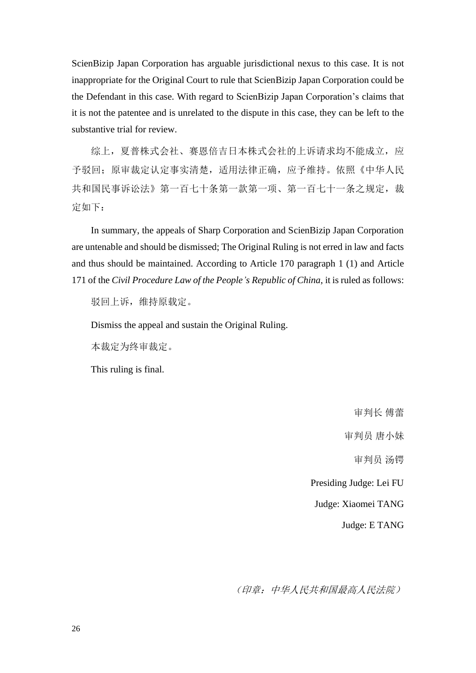ScienBizip Japan Corporation has arguable jurisdictional nexus to this case. It is not inappropriate for the Original Court to rule that ScienBizip Japan Corporation could be the Defendant in this case. With regard to ScienBizip Japan Corporation's claims that it is not the patentee and is unrelated to the dispute in this case, they can be left to the substantive trial for review.

综上,夏普株式会社、赛恩倍吉日本株式会社的上诉请求均不能成立,应 予驳回;原审裁定认定事实清楚,适用法律正确,应予维持。依照《中华人民 共和国民事诉讼法》第一百七十条第一款第一项、第一百七十一条之规定,裁 定如下:

In summary, the appeals of Sharp Corporation and ScienBizip Japan Corporation are untenable and should be dismissed; The Original Ruling is not erred in law and facts and thus should be maintained. According to Article 170 paragraph 1 (1) and Article 171 of the *Civil Procedure Law of the People's Republic of China*, it is ruled as follows:

驳回上诉,维持原载定。

Dismiss the appeal and sustain the Original Ruling.

本裁定为终审裁定。

This ruling is final.

审判长 傅蕾 审判员 唐小妹 审判员 汤锷 Presiding Judge: Lei FU Judge: Xiaomei TANG Judge: E TANG

(印章:中华人民共和国最高人民法院)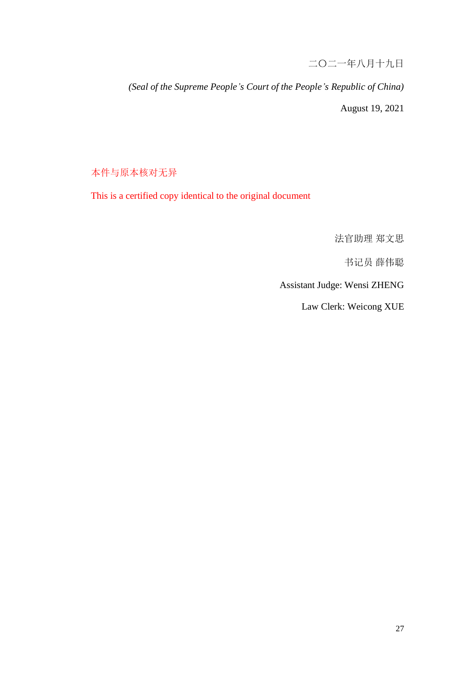二〇二一年八月十九日

*(Seal of the Supreme People's Court of the People's Republic of China)* August 19, 2021

本件与原本核对无异

This is a certified copy identical to the original document

法官助理 郑文思

书记员 薛伟聪

Assistant Judge: Wensi ZHENG

Law Clerk: Weicong XUE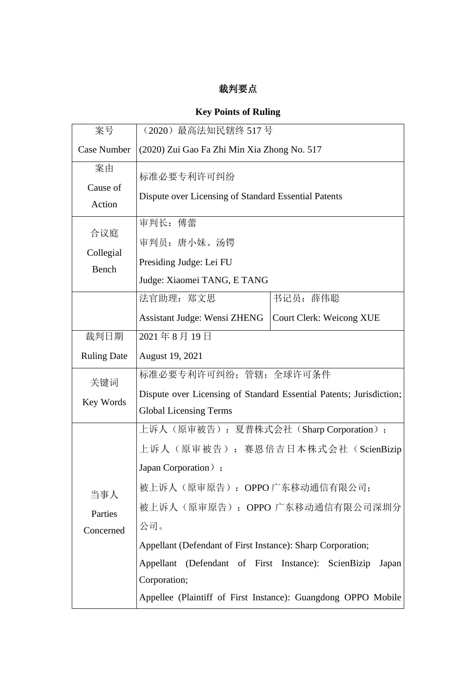# 裁判要点

# **Key Points of Ruling**

| 案号                          | (2020) 最高法知民辖终 517号                                                 |                                 |
|-----------------------------|---------------------------------------------------------------------|---------------------------------|
| <b>Case Number</b>          | (2020) Zui Gao Fa Zhi Min Xia Zhong No. 517                         |                                 |
| 案由<br>Cause of<br>Action    | 标准必要专利许可纠纷<br>Dispute over Licensing of Standard Essential Patents  |                                 |
|                             |                                                                     |                                 |
| 合议庭<br>Collegial<br>Bench   | 审判长: 傅蕾                                                             |                                 |
|                             | 审判员: 唐小妹、汤锷                                                         |                                 |
|                             | Presiding Judge: Lei FU                                             |                                 |
|                             | Judge: Xiaomei TANG, E TANG                                         |                                 |
|                             | 法官助理: 郑文思                                                           | 书记员: 薛伟聪                        |
|                             | <b>Assistant Judge: Wensi ZHENG</b>                                 | <b>Court Clerk: Weicong XUE</b> |
| 裁判日期                        | 2021年8月19日                                                          |                                 |
| <b>Ruling Date</b>          | August 19, 2021                                                     |                                 |
| 关键词<br>Key Words            | 标准必要专利许可纠纷; 管辖; 全球许可条件                                              |                                 |
|                             | Dispute over Licensing of Standard Essential Patents; Jurisdiction; |                                 |
|                             | <b>Global Licensing Terms</b>                                       |                                 |
| 当事人<br>Parties<br>Concerned | 上诉人(原审被告): 夏普株式会社(Sharp Corporation);                               |                                 |
|                             | 上诉人(原审被告):赛恩倍吉日本株式会社(ScienBizip                                     |                                 |
|                             | Japan Corporation);                                                 |                                 |
|                             | 被上诉人(原审原告): OPPO 广东移动通信有限公司;                                        |                                 |
|                             | 被上诉人(原审原告):OPPO 广东移动通信有限公司深圳分                                       |                                 |
|                             | 公司。                                                                 |                                 |
|                             | Appellant (Defendant of First Instance): Sharp Corporation;         |                                 |
|                             | Appellant (Defendant of First Instance): ScienBizip<br>Japan        |                                 |
|                             | Corporation;                                                        |                                 |
|                             | Appellee (Plaintiff of First Instance): Guangdong OPPO Mobile       |                                 |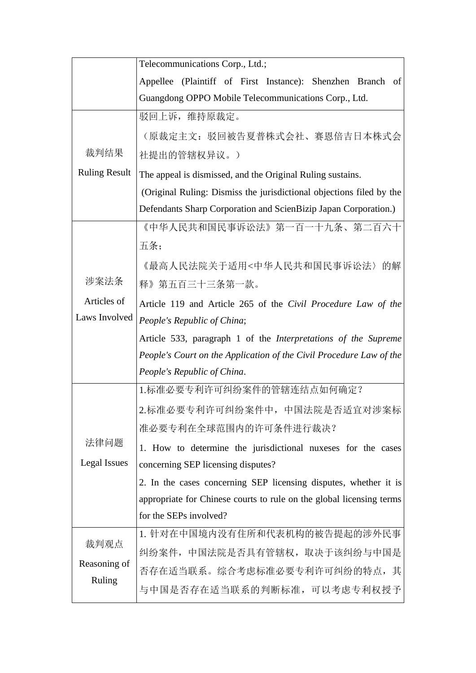|                                | Telecommunications Corp., Ltd.;                                                                               |  |  |
|--------------------------------|---------------------------------------------------------------------------------------------------------------|--|--|
|                                | Appellee (Plaintiff of First Instance): Shenzhen Branch of                                                    |  |  |
|                                | Guangdong OPPO Mobile Telecommunications Corp., Ltd.                                                          |  |  |
|                                | 驳回上诉, 维持原裁定。                                                                                                  |  |  |
|                                | (原裁定主文: 驳回被告夏普株式会社、赛恩倍吉日本株式会                                                                                  |  |  |
| 裁判结果                           | 社提出的管辖权异议。)                                                                                                   |  |  |
| <b>Ruling Result</b>           | The appeal is dismissed, and the Original Ruling sustains.                                                    |  |  |
|                                | (Original Ruling: Dismiss the jurisdictional objections filed by the                                          |  |  |
|                                | Defendants Sharp Corporation and ScienBizip Japan Corporation.)                                               |  |  |
|                                | 《中华人民共和国民事诉讼法》第一百一十九条、第二百六十<br>五条;                                                                            |  |  |
|                                |                                                                                                               |  |  |
|                                | 《最高人民法院关于适用<中华人民共和国民事诉讼法〉的解                                                                                   |  |  |
| 涉案法条                           | 释》第五百三十三条第一款。<br>Article 119 and Article 265 of the Civil Procedure Law of the<br>People's Republic of China; |  |  |
| Articles of                    |                                                                                                               |  |  |
| Laws Involved                  |                                                                                                               |  |  |
|                                | Article 533, paragraph 1 of the <i>Interpretations of the Supreme</i>                                         |  |  |
|                                | People's Court on the Application of the Civil Procedure Law of the                                           |  |  |
|                                | People's Republic of China.                                                                                   |  |  |
| 法律问题<br>Legal Issues           | 1.标准必要专利许可纠纷案件的管辖连结点如何确定?                                                                                     |  |  |
|                                | 2.标准必要专利许可纠纷案件中,中国法院是否适宜对涉案标                                                                                  |  |  |
|                                | 准必要专利在全球范围内的许可条件进行裁决?                                                                                         |  |  |
|                                | 1. How to determine the jurisdictional nuxeses for the cases                                                  |  |  |
|                                | concerning SEP licensing disputes?                                                                            |  |  |
|                                | 2. In the cases concerning SEP licensing disputes, whether it is                                              |  |  |
|                                | appropriate for Chinese courts to rule on the global licensing terms                                          |  |  |
|                                | for the SEPs involved?                                                                                        |  |  |
| 裁判观点<br>Reasoning of<br>Ruling | 1. 针对在中国境内没有住所和代表机构的被告提起的涉外民事                                                                                 |  |  |
|                                | 纠纷案件,中国法院是否具有管辖权,取决于该纠纷与中国是                                                                                   |  |  |
|                                | 否存在适当联系。综合考虑标准必要专利许可纠纷的特点, 其                                                                                  |  |  |
|                                | 与中国是否存在适当联系的判断标准,可以考虑专利权授予                                                                                    |  |  |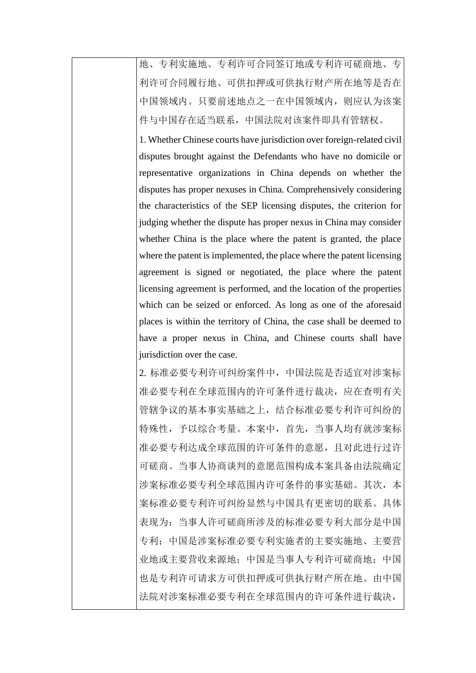地、专利实施地、专利许可合同签订地或专利许可磋商地、专 利许可合同履行地、可供扣押或可供执行财产所在地等是否在 中国领域内。只要前述地点之一在中国领域内,则应认为该案 件与中国存在适当联系,中国法院对该案件即具有管辖权。

1. Whether Chinese courts have jurisdiction over foreign-related civil disputes brought against the Defendants who have no domicile or representative organizations in China depends on whether the disputes has proper nexuses in China. Comprehensively considering the characteristics of the SEP licensing disputes, the criterion for judging whether the dispute has proper nexus in China may consider whether China is the place where the patent is granted, the place where the patent is implemented, the place where the patent licensing agreement is signed or negotiated, the place where the patent licensing agreement is performed, and the location of the properties which can be seized or enforced. As long as one of the aforesaid places is within the territory of China, the case shall be deemed to have a proper nexus in China, and Chinese courts shall have jurisdiction over the case.

2. 标准必要专利许可纠纷案件中,中国法院是否适宜对涉案标 准必要专利在全球范围内的许可条件进行裁决,应在查明有关 管辖争议的基本事实基础之上,结合标准必要专利许可纠纷的 特殊性,予以综合考量。本案中,首先,当事人均有就涉案标 准必要专利达成全球范围的许可条件的意愿,且对此进行过许 可磋商。当事人协商谈判的意愿范围构成本案具备由法院确定 涉案标准必要专利全球范围内许可条件的事实基础。其次,本 案标准必要专利许可纠纷显然与中国具有更密切的联系。具体 表现为:当事人许可磋商所涉及的标准必要专利大部分是中国 专利;中国是涉案标准必要专利实施者的主要实施地、主要营 业地或主要营收来源地;中国是当事人专利许可磋商地;中国 也是专利许可请求方可供扣押或可供执行财产所在地。由中国 法院对涉案标准必要专利在全球范围内的许可条件进行裁决,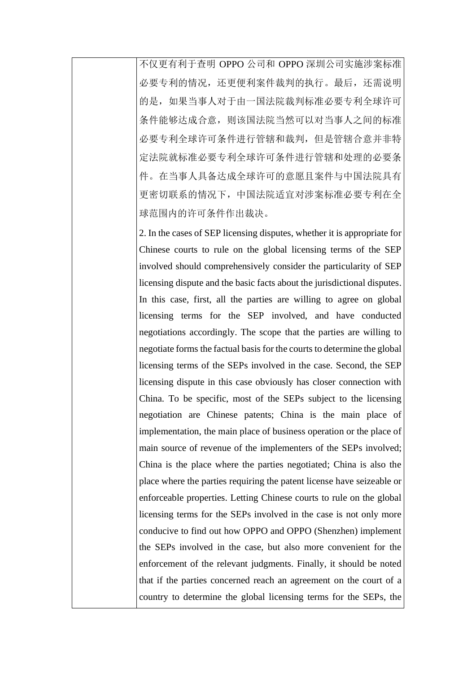不仅更有利于查明 OPPO 公司和 OPPO 深圳公司实施涉案标准 必要专利的情况,还更便利案件裁判的执行。最后,还需说明 的是,如果当事人对于由一国法院裁判标准必要专利全球许可 条件能够达成合意,则该国法院当然可以对当事人之间的标准 必要专利全球许可条件进行管辖和裁判,但是管辖合意并非特 定法院就标准必要专利全球许可条件进行管辖和处理的必要条 件。在当事人具备达成全球许可的意愿且案件与中国法院具有 更密切联系的情况下,中国法院适宜对涉案标准必要专利在全 球范围内的许可条件作出裁决。

2. In the cases of SEP licensing disputes, whether it is appropriate for Chinese courts to rule on the global licensing terms of the SEP involved should comprehensively consider the particularity of SEP licensing dispute and the basic facts about the jurisdictional disputes. In this case, first, all the parties are willing to agree on global licensing terms for the SEP involved, and have conducted negotiations accordingly. The scope that the parties are willing to negotiate forms the factual basis for the courts to determine the global licensing terms of the SEPs involved in the case. Second, the SEP licensing dispute in this case obviously has closer connection with China. To be specific, most of the SEPs subject to the licensing negotiation are Chinese patents; China is the main place of implementation, the main place of business operation or the place of main source of revenue of the implementers of the SEPs involved; China is the place where the parties negotiated; China is also the place where the parties requiring the patent license have seizeable or enforceable properties. Letting Chinese courts to rule on the global licensing terms for the SEPs involved in the case is not only more conducive to find out how OPPO and OPPO (Shenzhen) implement the SEPs involved in the case, but also more convenient for the enforcement of the relevant judgments. Finally, it should be noted that if the parties concerned reach an agreement on the court of a country to determine the global licensing terms for the SEPs, the